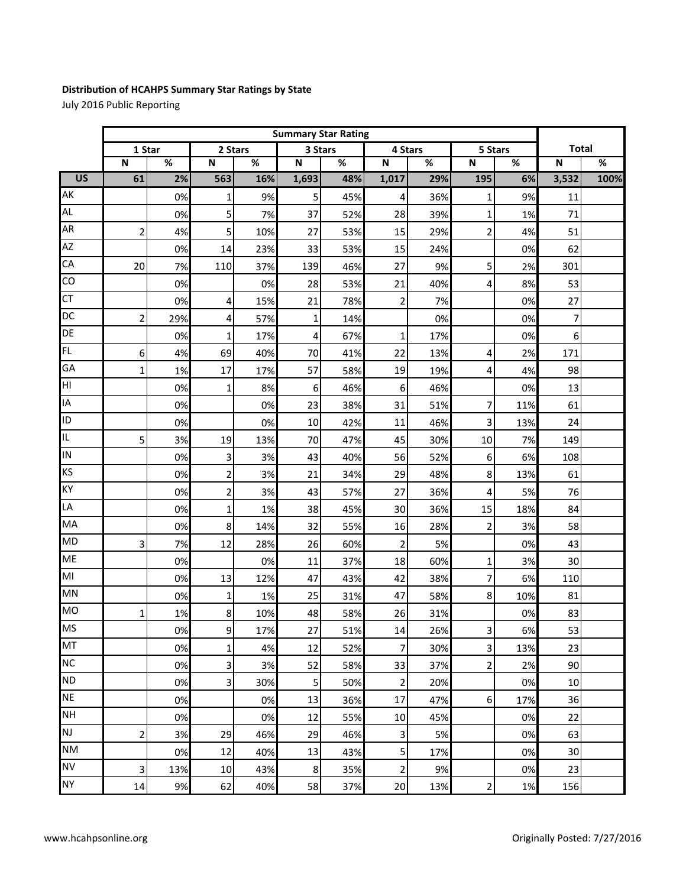## **Distribution of HCAHPS Summary Star Ratings by State**

July 2016 Public Reporting

|                      | <b>Summary Star Rating</b> |     |                         |     |                         |                          |                |     |                |       |                         |      |
|----------------------|----------------------------|-----|-------------------------|-----|-------------------------|--------------------------|----------------|-----|----------------|-------|-------------------------|------|
|                      | 1 Star                     |     | 2 Stars                 |     | 3 Stars                 |                          | 4 Stars        |     | 5 Stars        |       | <b>Total</b>            |      |
|                      | $\overline{\mathsf{N}}$    | %   | N                       | %   | $\overline{\mathsf{N}}$ | $\overline{\mathcal{C}}$ | N              | %   | ${\sf N}$      | %     | $\overline{\mathsf{N}}$ | %    |
| Г<br>$\overline{US}$ | 61                         | 2%  | 563                     | 16% | 1,693                   | 48%                      | 1,017          | 29% | 195            | 6%    | 3,532                   | 100% |
| AK                   |                            | 0%  | 1                       | 9%  | 5                       | 45%                      | 4              | 36% | $\mathbf{1}$   | 9%    | 11                      |      |
| AL.                  |                            | 0%  | 5                       | 7%  | 37                      | 52%                      | 28             | 39% | $\mathbf 1$    | 1%    | 71                      |      |
| AR                   | 2                          | 4%  | 5                       | 10% | 27                      | 53%                      | 15             | 29% | $\overline{2}$ | 4%    | 51                      |      |
| AZ                   |                            | 0%  | 14                      | 23% | 33                      | 53%                      | 15             | 24% |                | 0%    | 62                      |      |
| CA                   | 20                         | 7%  | 110                     | 37% | 139                     | 46%                      | 27             | 9%  | 5              | 2%    | 301                     |      |
| CO                   |                            | 0%  |                         | 0%  | 28                      | 53%                      | 21             | 40% | 4              | 8%    | 53                      |      |
| CT                   |                            | 0%  | 4                       | 15% | 21                      | 78%                      | $\overline{2}$ | 7%  |                | 0%    | 27                      |      |
| DC                   | 2                          | 29% | 4                       | 57% | $\mathbf{1}$            | 14%                      |                | 0%  |                | 0%    | 7                       |      |
| DE                   |                            | 0%  | 1                       | 17% | 4                       | 67%                      | $\mathbf{1}$   | 17% |                | 0%    | 6                       |      |
| FL                   | 6                          | 4%  | 69                      | 40% | 70                      | 41%                      | 22             | 13% | 4              | 2%    | 171                     |      |
| GA                   | $\mathbf 1$                | 1%  | 17                      | 17% | 57                      | 58%                      | 19             | 19% | 4              | 4%    | 98                      |      |
| HI                   |                            | 0%  | 1                       | 8%  | 6                       | 46%                      | 6              | 46% |                | 0%    | 13                      |      |
| IA                   |                            | 0%  |                         | 0%  | 23                      | 38%                      | 31             | 51% | 7              | 11%   | 61                      |      |
| ID                   |                            | 0%  |                         | 0%  | 10                      | 42%                      | 11             | 46% | 3              | 13%   | 24                      |      |
| IL                   | 5                          | 3%  | 19                      | 13% | 70                      | 47%                      | 45             | 30% | 10             | 7%    | 149                     |      |
| IN                   |                            | 0%  | 3                       | 3%  | 43                      | 40%                      | 56             | 52% | 6              | 6%    | 108                     |      |
| KS                   |                            | 0%  | $\overline{\mathbf{c}}$ | 3%  | 21                      | 34%                      | 29             | 48% | $\bf 8$        | 13%   | 61                      |      |
| KY                   |                            | 0%  | $\overline{c}$          | 3%  | 43                      | 57%                      | 27             | 36% | 4              | 5%    | 76                      |      |
| LA                   |                            | 0%  | $\mathbf 1$             | 1%  | 38                      | 45%                      | 30             | 36% | 15             | 18%   | 84                      |      |
| MA                   |                            | 0%  | 8                       | 14% | 32                      | 55%                      | 16             | 28% | $\overline{2}$ | 3%    | 58                      |      |
| <b>MD</b>            | 3                          | 7%  | 12                      | 28% | 26                      | 60%                      | $\mathbf 2$    | 5%  |                | 0%    | 43                      |      |
| <b>ME</b>            |                            | 0%  |                         | 0%  | 11                      | 37%                      | 18             | 60% | $\mathbf{1}$   | 3%    | 30                      |      |
| MI                   |                            | 0%  | 13                      | 12% | 47                      | 43%                      | 42             | 38% | 7              | 6%    | 110                     |      |
| <b>MN</b>            |                            | 0%  | $\mathbf 1$             | 1%  | 25                      | 31%                      | 47             | 58% | 8              | 10%   | 81                      |      |
| <b>MO</b>            | 1                          | 1%  | 8                       | 10% | 48                      | 58%                      | 26             | 31% |                | 0%    | 83                      |      |
| <b>MS</b>            |                            | 0%  | 9                       | 17% | 27                      | 51%                      | 14             | 26% | $\mathbf{3}$   | 6%    | 53                      |      |
| MT                   |                            | 0%  | 1                       | 4%  | 12                      | 52%                      | $\overline{7}$ | 30% | $\overline{3}$ | 13%   | 23                      |      |
| <b>NC</b>            |                            | 0%  | 3                       | 3%  | 52                      | 58%                      | 33             | 37% | $\overline{2}$ | 2%    | 90                      |      |
| <b>ND</b>            |                            | 0%  | 3                       | 30% | 5                       | 50%                      | $\mathbf{2}$   | 20% |                | 0%    | 10                      |      |
| <b>NE</b>            |                            | 0%  |                         | 0%  | 13                      | 36%                      | 17             | 47% | $6 \mid$       | 17%   | 36                      |      |
| <b>NH</b>            |                            | 0%  |                         | 0%  | 12                      | 55%                      | 10             | 45% |                | 0%    | 22                      |      |
| <b>NJ</b>            | $\overline{c}$             | 3%  | 29                      | 46% | 29                      | 46%                      | 3              | 5%  |                | 0%    | 63                      |      |
| <b>NM</b>            |                            | 0%  | 12                      | 40% | 13                      | 43%                      | 5 <sup>1</sup> | 17% |                | 0%    | 30                      |      |
| <b>NV</b>            | 3                          | 13% | $10\,$                  | 43% | $\bf 8$                 | 35%                      | $\mathbf{2}$   | 9%  |                | 0%    | 23                      |      |
| <b>NY</b>            | 14                         | 9%  | 62                      | 40% | 58                      | 37%                      | 20             | 13% | $\overline{2}$ | $1\%$ | 156                     |      |